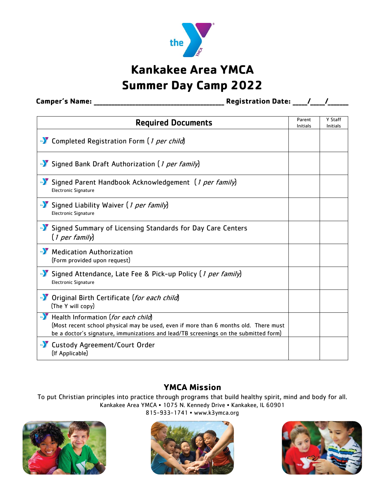

# **Kankakee Area YMCA Summer Day Camp 2022**

**Camper's Name: \_\_\_\_\_\_\_\_\_\_\_\_\_\_\_\_\_\_\_\_\_\_\_\_\_\_\_\_\_\_\_\_\_\_\_\_\_\_\_\_\_\_\_\_ Registration Date: \_\_\_\_\_/\_\_\_\_\_/\_\_\_\_\_\_\_**

| <b>Required Documents</b>                                                                                                                                                                                           | Parent<br>Initials | Y Staff<br>Initials |
|---------------------------------------------------------------------------------------------------------------------------------------------------------------------------------------------------------------------|--------------------|---------------------|
| •• Completed Registration Form (1 per child)                                                                                                                                                                        |                    |                     |
| Signed Bank Draft Authorization (1 per family)                                                                                                                                                                      |                    |                     |
| Signed Parent Handbook Acknowledgement (1 per family)<br><b>Electronic Signature</b>                                                                                                                                |                    |                     |
| Signed Liability Waiver (1 per family)<br><b>Electronic Signature</b>                                                                                                                                               |                    |                     |
| Signed Summary of Licensing Standards for Day Care Centers<br>(1 per family)                                                                                                                                        |                    |                     |
| Medication Authorization<br>(Form provided upon request)                                                                                                                                                            |                    |                     |
| Signed Attendance, Late Fee & Pick-up Policy (1 per family)<br><b>Electronic Signature</b>                                                                                                                          |                    |                     |
| •• Original Birth Certificate (for each child)<br>(The Y will copy)                                                                                                                                                 |                    |                     |
| Health Information (for each child)<br>(Most recent school physical may be used, even if more than 6 months old. There must<br>be a doctor's signature, immunizations and lead/TB screenings on the submitted form) |                    |                     |
| •• Custody Agreement/Court Order<br>(If Applicable)                                                                                                                                                                 |                    |                     |

#### **YMCA Mission**

To put Christian principles into practice through programs that build healthy spirit, mind and body for all. Kankakee Area YMCA • 1075 N. Kennedy Drive • Kankakee, IL 60901

815-933-1741 • www.k3ymca.org





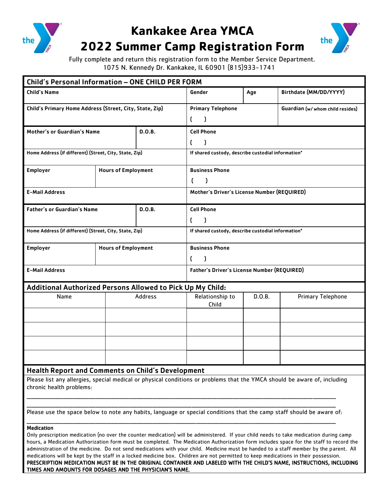

## **Kankakee Area YMCA**



## **2022 Summer Camp Registration Form**

Fully complete and return this registration form to the Member Service Department. 1075 N. Kennedy Dr. Kankakee, IL 60901 (815)933-1741

| Child's Personal Information - ONE CHILD PER FORM                                                                     |                                                     |         |                                                    |        |                                                                                                                           |
|-----------------------------------------------------------------------------------------------------------------------|-----------------------------------------------------|---------|----------------------------------------------------|--------|---------------------------------------------------------------------------------------------------------------------------|
| <b>Child's Name</b>                                                                                                   |                                                     |         | Gender                                             | Age    | Birthdate (MM/DD/YYYY)                                                                                                    |
| Child's Primary Home Address (Street, City, State, Zip)                                                               |                                                     |         | <b>Primary Telephone</b>                           |        | Guardian (w/ whom child resides)                                                                                          |
|                                                                                                                       |                                                     |         | 0<br><sup>1</sup>                                  |        |                                                                                                                           |
| Mother's or Guardian's Name                                                                                           |                                                     | D.O.B.  | <b>Cell Phone</b>                                  |        |                                                                                                                           |
|                                                                                                                       |                                                     |         | <sup>f</sup><br>-1                                 |        |                                                                                                                           |
| Home Address (if different) (Street, City, State, Zip)                                                                |                                                     |         | If shared custody, describe custodial information* |        |                                                                                                                           |
| <b>Employer</b>                                                                                                       | <b>Hours of Employment</b>                          |         | <b>Business Phone</b>                              |        |                                                                                                                           |
|                                                                                                                       |                                                     |         | C<br>$\mathcal{L}$                                 |        |                                                                                                                           |
| <b>E-Mail Address</b>                                                                                                 |                                                     |         | Mother's Driver's License Number (REQUIRED)        |        |                                                                                                                           |
| <b>Father's or Guardian's Name</b>                                                                                    |                                                     | D.O.B.  | <b>Cell Phone</b>                                  |        |                                                                                                                           |
|                                                                                                                       |                                                     |         | $\mathfrak{c}$<br>-1                               |        |                                                                                                                           |
| Home Address (if different) (Street, City, State, Zip)                                                                |                                                     |         | If shared custody, describe custodial information* |        |                                                                                                                           |
| <b>Employer</b>                                                                                                       | <b>Business Phone</b><br><b>Hours of Employment</b> |         |                                                    |        |                                                                                                                           |
|                                                                                                                       |                                                     |         | $\mathfrak{c}$<br>$\lambda$                        |        |                                                                                                                           |
| <b>E-Mail Address</b>                                                                                                 |                                                     |         | Father's Driver's License Number (REQUIRED)        |        |                                                                                                                           |
| Additional Authorized Persons Allowed to Pick Up My Child:                                                            |                                                     |         |                                                    |        |                                                                                                                           |
| Name                                                                                                                  |                                                     | Address | Relationship to<br>Child                           | D.O.B. | <b>Primary Telephone</b>                                                                                                  |
|                                                                                                                       |                                                     |         |                                                    |        |                                                                                                                           |
|                                                                                                                       |                                                     |         |                                                    |        |                                                                                                                           |
|                                                                                                                       |                                                     |         |                                                    |        |                                                                                                                           |
|                                                                                                                       |                                                     |         |                                                    |        |                                                                                                                           |
| <b>Health Report and Comments on Child's Development</b>                                                              |                                                     |         |                                                    |        |                                                                                                                           |
| chronic health problems:                                                                                              |                                                     |         |                                                    |        | Please list any allergies, special medical or physical conditions or problems that the YMCA should be aware of, including |
|                                                                                                                       |                                                     |         |                                                    |        |                                                                                                                           |
| Please use the space below to note any habits, language or special conditions that the camp staff should be aware of: |                                                     |         |                                                    |        |                                                                                                                           |
|                                                                                                                       |                                                     |         |                                                    |        |                                                                                                                           |

Medication

Only prescription medication (no over the counter medication) will be administered. If your child needs to take medication during camp hours, a Medication Authorization form must be completed. The Medication Authorization form includes space for the staff to record the administration of the medicine. Do not send medications with your child. Medicine must be handed to a staff member by the parent. All medications will be kept by the staff in a locked medicine box. Children are not permitted to keep medications in their possession. PRESCRIPTION MEDICATION MUST BE IN THE ORIGINAL CONTAINER AND LABELED WITH THE CHILD'S NAME, INSTRUCTIONS, INCLUDING TIMES AND AMOUNTS FOR DOSAGES AND THE PHYSICIAN'S NAME.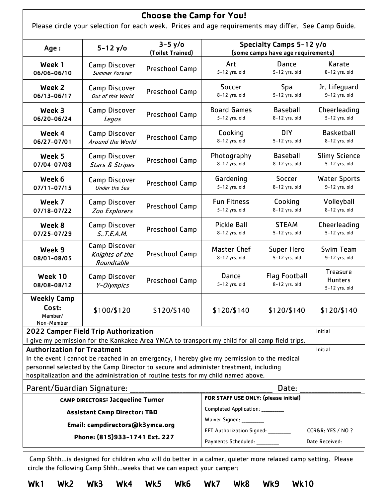|                                                      |                                                      | <b>Choose the Camp for You!</b><br>Please circle your selection for each week. Prices and age requirements may differ. See Camp Guide.                                                                                                                                     |                                                                |                                                                                     |                                                    |  |
|------------------------------------------------------|------------------------------------------------------|----------------------------------------------------------------------------------------------------------------------------------------------------------------------------------------------------------------------------------------------------------------------------|----------------------------------------------------------------|-------------------------------------------------------------------------------------|----------------------------------------------------|--|
| Age:                                                 | $5 - 12$ y/o                                         | $3-5$ y/o<br>(Toilet Trained)                                                                                                                                                                                                                                              | Specialty Camps 5-12 y/o<br>(some camps have age requirements) |                                                                                     |                                                    |  |
| Week 1<br>06/06-06/10                                | <b>Camp Discover</b><br><b>Summer Forever</b>        | Preschool Camp                                                                                                                                                                                                                                                             | Art<br>5-12 yrs. old                                           | Dance<br>5-12 yrs. old                                                              | Karate<br>8-12 yrs. old                            |  |
| Week 2<br>06/13-06/17                                | <b>Camp Discover</b><br>Out of this World            | Preschool Camp                                                                                                                                                                                                                                                             | Soccer<br>8-12 yrs. old                                        | Spa<br>5-12 yrs. old                                                                | Jr. Lifeguard<br>9-12 yrs. old                     |  |
| Week 3<br>06/20-06/24                                | <b>Camp Discover</b><br>Legos                        | Preschool Camp                                                                                                                                                                                                                                                             | <b>Board Games</b><br>5-12 yrs. old                            | <b>Baseball</b><br>8-12 yrs. old                                                    | Cheerleading<br>5-12 yrs. old                      |  |
| Week 4<br>06/27-07/01                                | <b>Camp Discover</b><br>Around the World             | Preschool Camp                                                                                                                                                                                                                                                             | Cooking<br>8-12 yrs. old                                       | <b>DIY</b><br>5-12 yrs. old                                                         | <b>Basketball</b><br>8-12 yrs. old                 |  |
| Week 5<br>07/04-07/08                                | <b>Camp Discover</b><br><b>Stars &amp; Stripes</b>   | Preschool Camp                                                                                                                                                                                                                                                             | Photography<br>8-12 yrs. old                                   | <b>Baseball</b><br>8-12 yrs. old                                                    | <b>Slimy Science</b><br>5-12 yrs. old              |  |
| Week 6<br>07/11-07/15                                | <b>Camp Discover</b><br>Under the Sea                | Preschool Camp                                                                                                                                                                                                                                                             | Gardening<br>5-12 yrs. old                                     | Soccer<br>8-12 yrs. old                                                             | <b>Water Sports</b><br>9-12 yrs. old               |  |
| Week 7<br>07/18-07/22                                | <b>Camp Discover</b><br><b>Zoo Explorers</b>         | Preschool Camp                                                                                                                                                                                                                                                             | <b>Fun Fitness</b><br>5-12 yrs. old                            | Cooking<br>8-12 yrs. old                                                            | Volleyball<br>8-12 yrs. old                        |  |
| Week 8<br>07/25-07/29                                | <b>Camp Discover</b><br>$S.$ . T.E.A.M.              | Preschool Camp                                                                                                                                                                                                                                                             | <b>Pickle Ball</b><br>8-12 yrs. old                            | <b>STEAM</b><br>5-12 yrs. old                                                       | Cheerleading<br>5-12 yrs. old                      |  |
| Week 9<br>08/01-08/05                                | <b>Camp Discover</b><br>Knights of the<br>Roundtable | Preschool Camp                                                                                                                                                                                                                                                             | <b>Master Chef</b><br>8-12 yrs. old                            | <b>Super Hero</b><br>5-12 yrs. old                                                  | Swim Team<br>9-12 yrs. old                         |  |
| Week 10<br>08/08-08/12                               | Camp Discover<br>Y-Olympics                          | Preschool Camp                                                                                                                                                                                                                                                             | Dance<br>5-12 yrs. old                                         | <b>Flag Football</b><br>8-12 yrs. old                                               | <b>Treasure</b><br><b>Hunters</b><br>5-12 yrs. old |  |
| <b>Weekly Camp</b><br>Cost:<br>Member/<br>Non-Member | \$100/\$120                                          | \$120/\$140                                                                                                                                                                                                                                                                | \$120/\$140                                                    | \$120/\$140                                                                         | \$120/\$140                                        |  |
|                                                      | 2022 Camper Field Trip Authorization                 | I give my permission for the Kankakee Area YMCA to transport my child for all camp field trips.                                                                                                                                                                            |                                                                |                                                                                     | Initial                                            |  |
| <b>Authorization for Treatment</b>                   |                                                      | In the event I cannot be reached in an emergency, I hereby give my permission to the medical<br>personnel selected by the Camp Director to secure and administer treatment, including<br>hospitalization and the administration of routine tests for my child named above. |                                                                |                                                                                     | Initial                                            |  |
| Parent/Guardian Signature:                           |                                                      |                                                                                                                                                                                                                                                                            |                                                                | Date:                                                                               |                                                    |  |
|                                                      | <b>CAMP DIRECTORS: Jacqueline Turner</b>             |                                                                                                                                                                                                                                                                            | FOR STAFF USE ONLY: (please initial)                           |                                                                                     |                                                    |  |
|                                                      | <b>Assistant Camp Director: TBD</b>                  |                                                                                                                                                                                                                                                                            | Completed Application: _________                               |                                                                                     |                                                    |  |
|                                                      | Email: campdirectors@k3ymca.org                      |                                                                                                                                                                                                                                                                            |                                                                | Waiver Signed: _________<br>EFT Authorization Signed: ________<br>CCR&R: YES / NO ? |                                                    |  |
|                                                      | Phone: (815)933-1741 Ext. 227                        |                                                                                                                                                                                                                                                                            | Payments Scheduled: _________                                  |                                                                                     | Date Received:                                     |  |
|                                                      |                                                      |                                                                                                                                                                                                                                                                            |                                                                |                                                                                     |                                                    |  |

Camp Shhh…is designed for children who will do better in a calmer, quieter more relaxed camp setting. Please circle the following Camp Shhh…weeks that we can expect your camper: